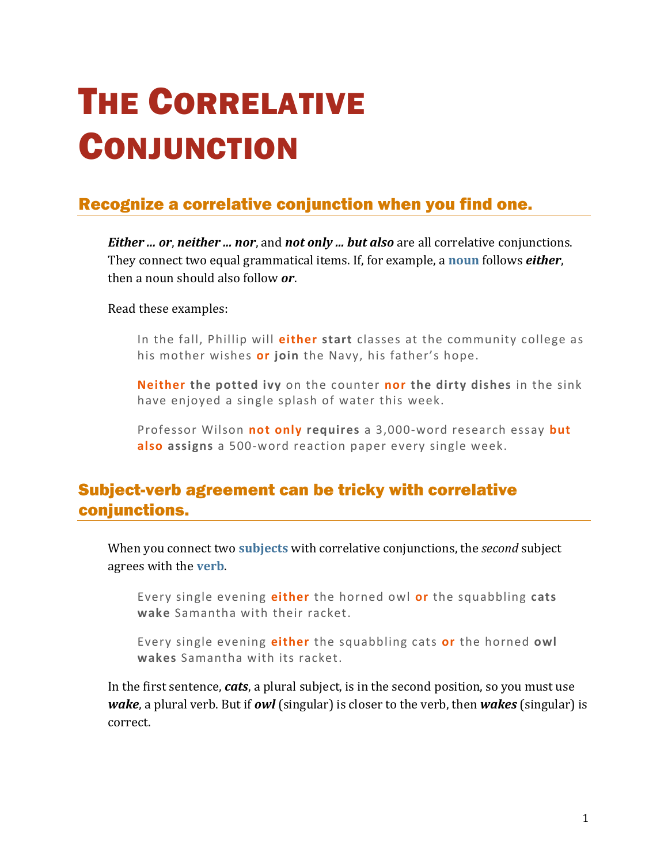# THE CORRELATIVE **CONJUNCTION**

## Recognize a correlative conjunction when you find one.

*Either ... or*, *neither ... nor*, and *not only ... but also* are all correlative conjunctions. They connect two equal grammatical items. If, for example, a **[noun](https://chompchomp.com/terms/noun.htm)** follows *either*, then a noun should also follow *or*.

Read these examples:

In the fall, Phillip will **either start** classes at the community college as his mother wishes **or join** the Navy, his father's hope.

**Neither the potted ivy** on the counter **nor the dirty dishes** in the sink have enjoyed a single splash of water this week.

Professor Wilson **not only requires** a 3,000-word research essay **but also assigns** a 500-word reaction paper every single week.

#### Subject-verb agreement can be tricky with correlative conjunctions.

When you connect two **[subjects](https://chompchomp.com/terms/subject.htm)** with correlative conjunctions, the *second* subject agrees with the **[verb](https://chompchomp.com/terms/verb.htm)**.

Every single evening **either** the horned owl **or** the squabbling **cats wake** Samantha with their racket.

Every single evening **either** the squabbling cats **or** the horned **owl wakes** Samantha with its racket.

In the first sentence, *cats*, a plural subject, is in the second position, so you must use *wake*, a plural verb. But if *owl* (singular) is closer to the verb, then *wakes* (singular) is correct.